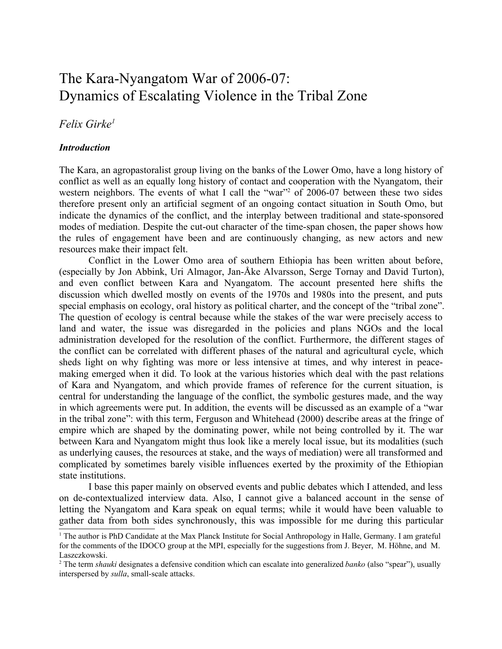# The Kara-Nyangatom War of 2006-07: Dynamics of Escalating Violence in the Tribal Zone

# *Felix Girke[1](#page-0-0)*

#### *Introduction*

The Kara, an agropastoralist group living on the banks of the Lower Omo, have a long history of conflict as well as an equally long history of contact and cooperation with the Nyangatom, their western neighbors. The events of what I call the "war"<sup>[2](#page-0-1)</sup> of 2006-07 between these two sides therefore present only an artificial segment of an ongoing contact situation in South Omo, but indicate the dynamics of the conflict, and the interplay between traditional and state-sponsored modes of mediation. Despite the cut-out character of the time-span chosen, the paper shows how the rules of engagement have been and are continuously changing, as new actors and new resources make their impact felt.

Conflict in the Lower Omo area of southern Ethiopia has been written about before, (especially by Jon Abbink, Uri Almagor, Jan-Åke Alvarsson, Serge Tornay and David Turton), and even conflict between Kara and Nyangatom. The account presented here shifts the discussion which dwelled mostly on events of the 1970s and 1980s into the present, and puts special emphasis on ecology, oral history as political charter, and the concept of the "tribal zone". The question of ecology is central because while the stakes of the war were precisely access to land and water, the issue was disregarded in the policies and plans NGOs and the local administration developed for the resolution of the conflict. Furthermore, the different stages of the conflict can be correlated with different phases of the natural and agricultural cycle, which sheds light on why fighting was more or less intensive at times, and why interest in peacemaking emerged when it did. To look at the various histories which deal with the past relations of Kara and Nyangatom, and which provide frames of reference for the current situation, is central for understanding the language of the conflict, the symbolic gestures made, and the way in which agreements were put. In addition, the events will be discussed as an example of a "war in the tribal zone": with this term, Ferguson and Whitehead (2000) describe areas at the fringe of empire which are shaped by the dominating power, while not being controlled by it. The war between Kara and Nyangatom might thus look like a merely local issue, but its modalities (such as underlying causes, the resources at stake, and the ways of mediation) were all transformed and complicated by sometimes barely visible influences exerted by the proximity of the Ethiopian state institutions.

I base this paper mainly on observed events and public debates which I attended, and less on de-contextualized interview data. Also, I cannot give a balanced account in the sense of letting the Nyangatom and Kara speak on equal terms; while it would have been valuable to gather data from both sides synchronously, this was impossible for me during this particular

<span id="page-0-0"></span><sup>&</sup>lt;sup>1</sup> The author is PhD Candidate at the Max Planck Institute for Social Anthropology in Halle, Germany. I am grateful for the comments of the IDOCO group at the MPI, especially for the suggestions from J. Beyer, M. Höhne, and M. Laszczkowski.

<span id="page-0-1"></span><sup>2</sup> The term *shauki* designates a defensive condition which can escalate into generalized *banko* (also "spear"), usually interspersed by *sulla*, small-scale attacks.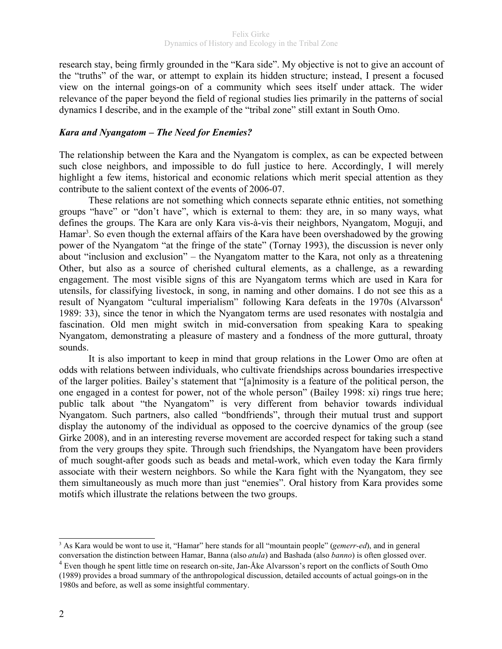research stay, being firmly grounded in the "Kara side". My objective is not to give an account of the "truths" of the war, or attempt to explain its hidden structure; instead, I present a focused view on the internal goings-on of a community which sees itself under attack. The wider relevance of the paper beyond the field of regional studies lies primarily in the patterns of social dynamics I describe, and in the example of the "tribal zone" still extant in South Omo.

## *Kara and Nyangatom – The Need for Enemies?*

The relationship between the Kara and the Nyangatom is complex, as can be expected between such close neighbors, and impossible to do full justice to here. Accordingly, I will merely highlight a few items, historical and economic relations which merit special attention as they contribute to the salient context of the events of 2006-07.

These relations are not something which connects separate ethnic entities, not something groups "have" or "don't have", which is external to them: they are, in so many ways, what defines the groups. The Kara are only Kara vis-à-vis their neighbors, Nyangatom, Moguji, and Hamar<sup>[3](#page-1-0)</sup>. So even though the external affairs of the Kara have been overshadowed by the growing power of the Nyangatom "at the fringe of the state" (Tornay 1993), the discussion is never only about "inclusion and exclusion" – the Nyangatom matter to the Kara, not only as a threatening Other, but also as a source of cherished cultural elements, as a challenge, as a rewarding engagement. The most visible signs of this are Nyangatom terms which are used in Kara for utensils, for classifying livestock, in song, in naming and other domains. I do not see this as a result of Nyangatom "cultural imperialism" following Kara defeats in the 1970s (Alvarsson<sup>[4](#page-1-1)</sup> 1989: 33), since the tenor in which the Nyangatom terms are used resonates with nostalgia and fascination. Old men might switch in mid-conversation from speaking Kara to speaking Nyangatom, demonstrating a pleasure of mastery and a fondness of the more guttural, throaty sounds.

It is also important to keep in mind that group relations in the Lower Omo are often at odds with relations between individuals, who cultivate friendships across boundaries irrespective of the larger polities. Bailey's statement that "[a]nimosity is a feature of the political person, the one engaged in a contest for power, not of the whole person" (Bailey 1998: xi) rings true here; public talk about "the Nyangatom" is very different from behavior towards individual Nyangatom. Such partners, also called "bondfriends", through their mutual trust and support display the autonomy of the individual as opposed to the coercive dynamics of the group (see Girke 2008), and in an interesting reverse movement are accorded respect for taking such a stand from the very groups they spite. Through such friendships, the Nyangatom have been providers of much sought-after goods such as beads and metal-work, which even today the Kara firmly associate with their western neighbors. So while the Kara fight with the Nyangatom, they see them simultaneously as much more than just "enemies". Oral history from Kara provides some motifs which illustrate the relations between the two groups.

<span id="page-1-0"></span><sup>3</sup> As Kara would be wont to use it, "Hamar" here stands for all "mountain people" (*gemerr-ed*), and in general conversation the distinction between Hamar, Banna (also *atula*) and Bashada (also *banno*) is often glossed over.

<span id="page-1-1"></span><sup>&</sup>lt;sup>4</sup> Even though he spent little time on research on-site, Jan-Åke Alvarsson's report on the conflicts of South Omo (1989) provides a broad summary of the anthropological discussion, detailed accounts of actual goings-on in the 1980s and before, as well as some insightful commentary.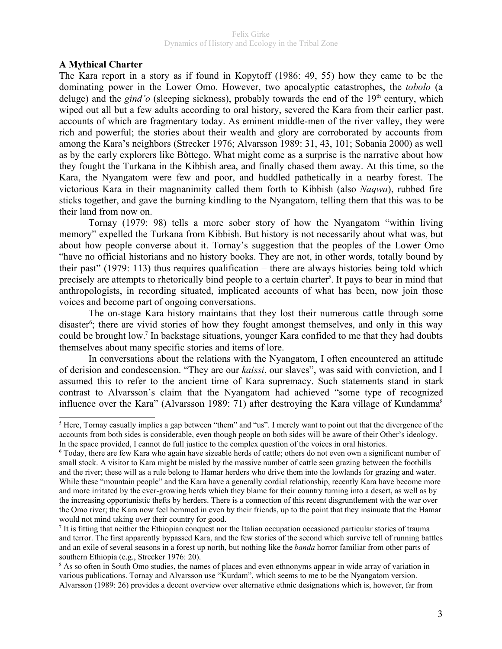## **A Mythical Charter**

The Kara report in a story as if found in Kopytoff (1986: 49, 55) how they came to be the dominating power in the Lower Omo. However, two apocalyptic catastrophes, the *tobolo* (a deluge) and the *gind'o* (sleeping sickness), probably towards the end of the 19<sup>th</sup> century, which wiped out all but a few adults according to oral history, severed the Kara from their earlier past, accounts of which are fragmentary today. As eminent middle-men of the river valley, they were rich and powerful; the stories about their wealth and glory are corroborated by accounts from among the Kara's neighbors (Strecker 1976; Alvarsson 1989: 31, 43, 101; Sobania 2000) as well as by the early explorers like Bòttego. What might come as a surprise is the narrative about how they fought the Turkana in the Kibbish area, and finally chased them away. At this time, so the Kara, the Nyangatom were few and poor, and huddled pathetically in a nearby forest. The victorious Kara in their magnanimity called them forth to Kibbish (also *Naqwa*), rubbed fire sticks together, and gave the burning kindling to the Nyangatom, telling them that this was to be their land from now on.

Tornay (1979: 98) tells a more sober story of how the Nyangatom "within living memory" expelled the Turkana from Kibbish. But history is not necessarily about what was, but about how people converse about it. Tornay's suggestion that the peoples of the Lower Omo "have no official historians and no history books. They are not, in other words, totally bound by their past" (1979: 113) thus requires qualification – there are always histories being told which precisely are attempts to rhetorically bind people to a certain charter<sup>[5](#page-2-0)</sup>. It pays to bear in mind that anthropologists, in recording situated, implicated accounts of what has been, now join those voices and become part of ongoing conversations.

The on-stage Kara history maintains that they lost their numerous cattle through some disaster<sup>[6](#page-2-1)</sup>; there are vivid stories of how they fought amongst themselves, and only in this way could be brought low.<sup>[7](#page-2-2)</sup> In backstage situations, younger Kara confided to me that they had doubts themselves about many specific stories and items of lore.

In conversations about the relations with the Nyangatom, I often encountered an attitude of derision and condescension. "They are our *kaissi*, our slaves", was said with conviction, and I assumed this to refer to the ancient time of Kara supremacy. Such statements stand in stark contrast to Alvarsson's claim that the Nyangatom had achieved "some type of recognized influence over the Kara" (Alvarsson 19[8](#page-2-3)9: 71) after destroying the Kara village of Kundamma<sup>8</sup>

<span id="page-2-0"></span><sup>&</sup>lt;sup>5</sup> Here, Tornay casually implies a gap between "them" and "us". I merely want to point out that the divergence of the accounts from both sides is considerable, even though people on both sides will be aware of their Other's ideology. In the space provided, I cannot do full justice to the complex question of the voices in oral histories.

<span id="page-2-1"></span><sup>6</sup> Today, there are few Kara who again have sizeable herds of cattle; others do not even own a significant number of small stock. A visitor to Kara might be misled by the massive number of cattle seen grazing between the foothills and the river; these will as a rule belong to Hamar herders who drive them into the lowlands for grazing and water. While these "mountain people" and the Kara have a generally cordial relationship, recently Kara have become more and more irritated by the ever-growing herds which they blame for their country turning into a desert, as well as by the increasing opportunistic thefts by herders. There is a connection of this recent disgruntlement with the war over the Omo river; the Kara now feel hemmed in even by their friends, up to the point that they insinuate that the Hamar would not mind taking over their country for good.

<span id="page-2-2"></span><sup>7</sup> It is fitting that neither the Ethiopian conquest nor the Italian occupation occasioned particular stories of trauma and terror. The first apparently bypassed Kara, and the few stories of the second which survive tell of running battles and an exile of several seasons in a forest up north, but nothing like the *banda* horror familiar from other parts of southern Ethiopia (e.g., Strecker 1976: 20).

<span id="page-2-3"></span><sup>&</sup>lt;sup>8</sup> As so often in South Omo studies, the names of places and even ethnonyms appear in wide array of variation in various publications. Tornay and Alvarsson use "Kurdam", which seems to me to be the Nyangatom version. Alvarsson (1989: 26) provides a decent overview over alternative ethnic designations which is, however, far from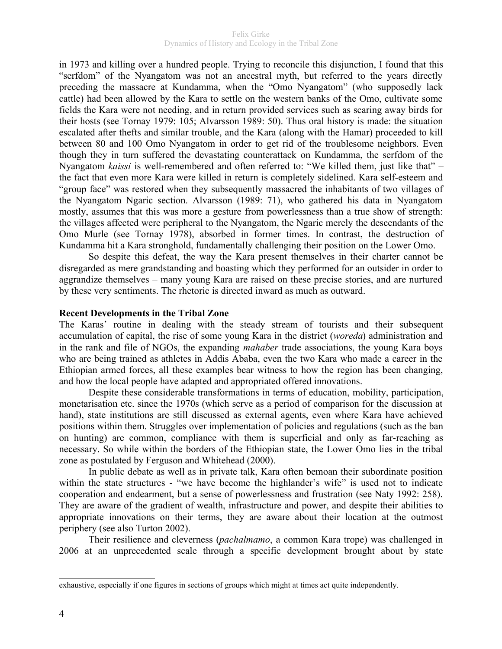in 1973 and killing over a hundred people. Trying to reconcile this disjunction, I found that this "serfdom" of the Nyangatom was not an ancestral myth, but referred to the years directly preceding the massacre at Kundamma, when the "Omo Nyangatom" (who supposedly lack cattle) had been allowed by the Kara to settle on the western banks of the Omo, cultivate some fields the Kara were not needing, and in return provided services such as scaring away birds for their hosts (see Tornay 1979: 105; Alvarsson 1989: 50). Thus oral history is made: the situation escalated after thefts and similar trouble, and the Kara (along with the Hamar) proceeded to kill between 80 and 100 Omo Nyangatom in order to get rid of the troublesome neighbors. Even though they in turn suffered the devastating counterattack on Kundamma, the serfdom of the Nyangatom *kaissi* is well-remembered and often referred to: "We killed them, just like that" – the fact that even more Kara were killed in return is completely sidelined. Kara self-esteem and "group face" was restored when they subsequently massacred the inhabitants of two villages of the Nyangatom Ngaric section. Alvarsson (1989: 71), who gathered his data in Nyangatom mostly, assumes that this was more a gesture from powerlessness than a true show of strength: the villages affected were peripheral to the Nyangatom, the Ngaric merely the descendants of the Omo Murle (see Tornay 1978), absorbed in former times. In contrast, the destruction of Kundamma hit a Kara stronghold, fundamentally challenging their position on the Lower Omo.

So despite this defeat, the way the Kara present themselves in their charter cannot be disregarded as mere grandstanding and boasting which they performed for an outsider in order to aggrandize themselves – many young Kara are raised on these precise stories, and are nurtured by these very sentiments. The rhetoric is directed inward as much as outward.

#### **Recent Developments in the Tribal Zone**

The Karas' routine in dealing with the steady stream of tourists and their subsequent accumulation of capital, the rise of some young Kara in the district (*woreda*) administration and in the rank and file of NGOs, the expanding *mahaber* trade associations, the young Kara boys who are being trained as athletes in Addis Ababa, even the two Kara who made a career in the Ethiopian armed forces, all these examples bear witness to how the region has been changing, and how the local people have adapted and appropriated offered innovations.

Despite these considerable transformations in terms of education, mobility, participation, monetarisation etc. since the 1970s (which serve as a period of comparison for the discussion at hand), state institutions are still discussed as external agents, even where Kara have achieved positions within them. Struggles over implementation of policies and regulations (such as the ban on hunting) are common, compliance with them is superficial and only as far-reaching as necessary. So while within the borders of the Ethiopian state, the Lower Omo lies in the tribal zone as postulated by Ferguson and Whitehead (2000).

In public debate as well as in private talk, Kara often bemoan their subordinate position within the state structures - "we have become the highlander's wife" is used not to indicate cooperation and endearment, but a sense of powerlessness and frustration (see Naty 1992: 258). They are aware of the gradient of wealth, infrastructure and power, and despite their abilities to appropriate innovations on their terms, they are aware about their location at the outmost periphery (see also Turton 2002).

Their resilience and cleverness (*pachalmamo*, a common Kara trope) was challenged in 2006 at an unprecedented scale through a specific development brought about by state

exhaustive, especially if one figures in sections of groups which might at times act quite independently.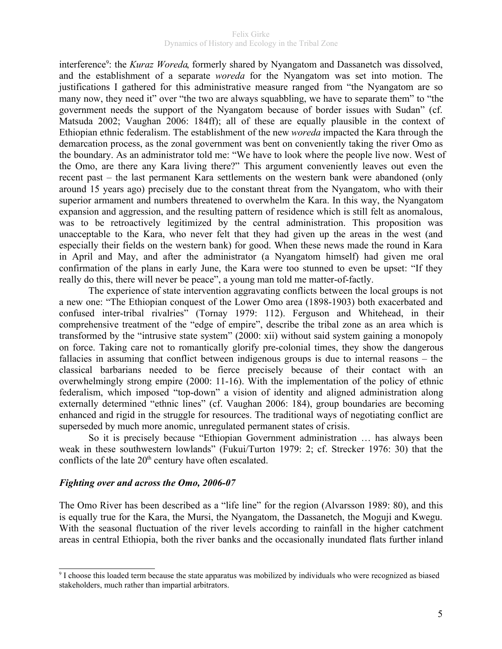interference<sup>[9](#page-4-0)</sup>: the *Kuraz Woreda*, formerly shared by Nyangatom and Dassanetch was dissolved, and the establishment of a separate *woreda* for the Nyangatom was set into motion. The justifications I gathered for this administrative measure ranged from "the Nyangatom are so many now, they need it" over "the two are always squabbling, we have to separate them" to "the government needs the support of the Nyangatom because of border issues with Sudan" (cf. Matsuda 2002; Vaughan 2006: 184ff); all of these are equally plausible in the context of Ethiopian ethnic federalism. The establishment of the new *woreda* impacted the Kara through the demarcation process, as the zonal government was bent on conveniently taking the river Omo as the boundary. As an administrator told me: "We have to look where the people live now. West of the Omo, are there any Kara living there?" This argument conveniently leaves out even the recent past – the last permanent Kara settlements on the western bank were abandoned (only around 15 years ago) precisely due to the constant threat from the Nyangatom, who with their superior armament and numbers threatened to overwhelm the Kara. In this way, the Nyangatom expansion and aggression, and the resulting pattern of residence which is still felt as anomalous, was to be retroactively legitimized by the central administration. This proposition was unacceptable to the Kara, who never felt that they had given up the areas in the west (and especially their fields on the western bank) for good. When these news made the round in Kara in April and May, and after the administrator (a Nyangatom himself) had given me oral confirmation of the plans in early June, the Kara were too stunned to even be upset: "If they really do this, there will never be peace", a young man told me matter-of-factly.

The experience of state intervention aggravating conflicts between the local groups is not a new one: "The Ethiopian conquest of the Lower Omo area (1898-1903) both exacerbated and confused inter-tribal rivalries" (Tornay 1979: 112). Ferguson and Whitehead, in their comprehensive treatment of the "edge of empire", describe the tribal zone as an area which is transformed by the "intrusive state system" (2000: xii) without said system gaining a monopoly on force. Taking care not to romantically glorify pre-colonial times, they show the dangerous fallacies in assuming that conflict between indigenous groups is due to internal reasons – the classical barbarians needed to be fierce precisely because of their contact with an overwhelmingly strong empire (2000: 11-16). With the implementation of the policy of ethnic federalism, which imposed "top-down" a vision of identity and aligned administration along externally determined "ethnic lines" (cf. Vaughan 2006: 184), group boundaries are becoming enhanced and rigid in the struggle for resources. The traditional ways of negotiating conflict are superseded by much more anomic, unregulated permanent states of crisis.

So it is precisely because "Ethiopian Government administration … has always been weak in these southwestern lowlands" (Fukui/Turton 1979: 2; cf. Strecker 1976: 30) that the conflicts of the late  $20<sup>th</sup>$  century have often escalated.

## *Fighting over and across the Omo, 2006-07*

The Omo River has been described as a "life line" for the region (Alvarsson 1989: 80), and this is equally true for the Kara, the Mursi, the Nyangatom, the Dassanetch, the Moguji and Kwegu. With the seasonal fluctuation of the river levels according to rainfall in the higher catchment areas in central Ethiopia, both the river banks and the occasionally inundated flats further inland

<span id="page-4-0"></span><sup>9</sup> I choose this loaded term because the state apparatus was mobilized by individuals who were recognized as biased stakeholders, much rather than impartial arbitrators.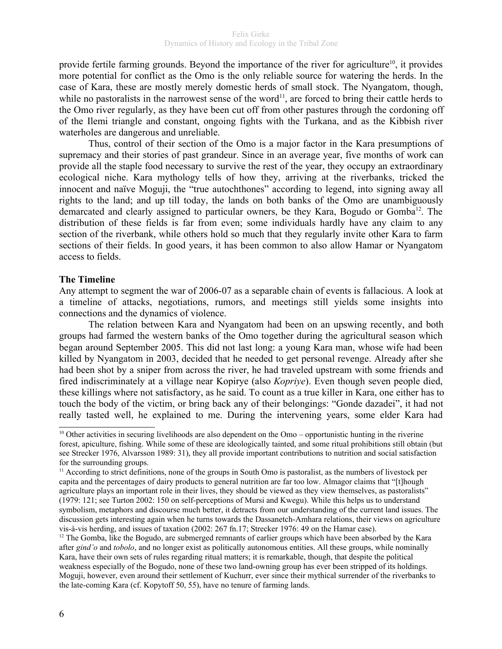provide fertile farming grounds. Beyond the importance of the river for agriculture<sup>[10](#page-5-0)</sup>, it provides more potential for conflict as the Omo is the only reliable source for watering the herds. In the case of Kara, these are mostly merely domestic herds of small stock. The Nyangatom, though, while no pastoralists in the narrowest sense of the word<sup>[11](#page-5-1)</sup>, are forced to bring their cattle herds to the Omo river regularly, as they have been cut off from other pastures through the cordoning off of the Ilemi triangle and constant, ongoing fights with the Turkana, and as the Kibbish river waterholes are dangerous and unreliable.

Thus, control of their section of the Omo is a major factor in the Kara presumptions of supremacy and their stories of past grandeur. Since in an average year, five months of work can provide all the staple food necessary to survive the rest of the year, they occupy an extraordinary ecological niche. Kara mythology tells of how they, arriving at the riverbanks, tricked the innocent and naïve Moguji, the "true autochthones" according to legend, into signing away all rights to the land; and up till today, the lands on both banks of the Omo are unambiguously demarcated and clearly assigned to particular owners, be they Kara, Bogudo or Gomba<sup>[12](#page-5-2)</sup>. The distribution of these fields is far from even; some individuals hardly have any claim to any section of the riverbank, while others hold so much that they regularly invite other Kara to farm sections of their fields. In good years, it has been common to also allow Hamar or Nyangatom access to fields.

## **The Timeline**

Any attempt to segment the war of 2006-07 as a separable chain of events is fallacious. A look at a timeline of attacks, negotiations, rumors, and meetings still yields some insights into connections and the dynamics of violence.

The relation between Kara and Nyangatom had been on an upswing recently, and both groups had farmed the western banks of the Omo together during the agricultural season which began around September 2005. This did not last long: a young Kara man, whose wife had been killed by Nyangatom in 2003, decided that he needed to get personal revenge. Already after she had been shot by a sniper from across the river, he had traveled upstream with some friends and fired indiscriminately at a village near Kopirye (also *Kopriye*). Even though seven people died, these killings where not satisfactory, as he said. To count as a true killer in Kara, one either has to touch the body of the victim, or bring back any of their belongings: "Gonde dazadei", it had not really tasted well, he explained to me. During the intervening years, some elder Kara had

<span id="page-5-0"></span> $10$  Other activities in securing livelihoods are also dependent on the Omo – opportunistic hunting in the riverine forest, apiculture, fishing. While some of these are ideologically tainted, and some ritual prohibitions still obtain (but see Strecker 1976, Alvarsson 1989: 31), they all provide important contributions to nutrition and social satisfaction for the surrounding groups.

<span id="page-5-1"></span><sup>&</sup>lt;sup>11</sup> According to strict definitions, none of the groups in South Omo is pastoralist, as the numbers of livestock per capita and the percentages of dairy products to general nutrition are far too low. Almagor claims that "[t]hough agriculture plays an important role in their lives, they should be viewed as they view themselves, as pastoralists" (1979: 121; see Turton 2002: 150 on self-perceptions of Mursi and Kwegu). While this helps us to understand symbolism, metaphors and discourse much better, it detracts from our understanding of the current land issues. The discussion gets interesting again when he turns towards the Dassanetch-Amhara relations, their views on agriculture vis-à-vis herding, and issues of taxation (2002: 267 fn.17; Strecker 1976: 49 on the Hamar case).

<span id="page-5-2"></span><sup>&</sup>lt;sup>12</sup> The Gomba, like the Bogudo, are submerged remnants of earlier groups which have been absorbed by the Kara after *gind'o* and *tobolo*, and no longer exist as politically autonomous entities. All these groups, while nominally Kara, have their own sets of rules regarding ritual matters; it is remarkable, though, that despite the political weakness especially of the Bogudo, none of these two land-owning group has ever been stripped of its holdings. Moguji, however, even around their settlement of Kuchurr, ever since their mythical surrender of the riverbanks to the late-coming Kara (cf. Kopytoff 50, 55), have no tenure of farming lands.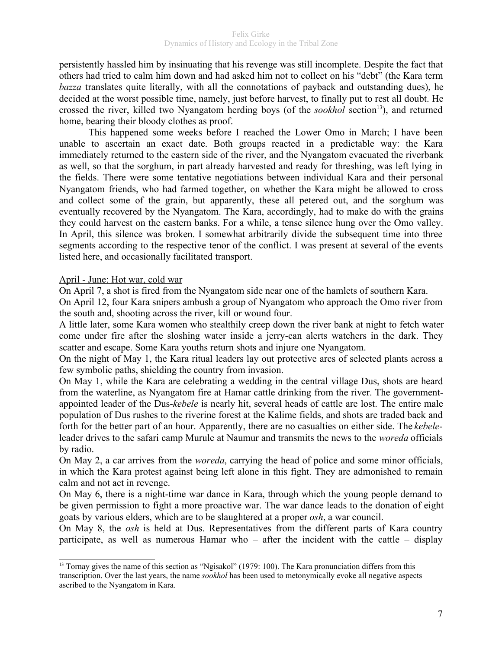persistently hassled him by insinuating that his revenge was still incomplete. Despite the fact that others had tried to calm him down and had asked him not to collect on his "debt" (the Kara term *bazza* translates quite literally, with all the connotations of payback and outstanding dues), he decided at the worst possible time, namely, just before harvest, to finally put to rest all doubt. He crossed the river, killed two Nyangatom herding boys (of the *sookhol* section<sup>[13](#page-6-0)</sup>), and returned home, bearing their bloody clothes as proof.

This happened some weeks before I reached the Lower Omo in March; I have been unable to ascertain an exact date. Both groups reacted in a predictable way: the Kara immediately returned to the eastern side of the river, and the Nyangatom evacuated the riverbank as well, so that the sorghum, in part already harvested and ready for threshing, was left lying in the fields. There were some tentative negotiations between individual Kara and their personal Nyangatom friends, who had farmed together, on whether the Kara might be allowed to cross and collect some of the grain, but apparently, these all petered out, and the sorghum was eventually recovered by the Nyangatom. The Kara, accordingly, had to make do with the grains they could harvest on the eastern banks. For a while, a tense silence hung over the Omo valley. In April, this silence was broken. I somewhat arbitrarily divide the subsequent time into three segments according to the respective tenor of the conflict. I was present at several of the events listed here, and occasionally facilitated transport.

## April - June: Hot war, cold war

On April 7, a shot is fired from the Nyangatom side near one of the hamlets of southern Kara.

On April 12, four Kara snipers ambush a group of Nyangatom who approach the Omo river from the south and, shooting across the river, kill or wound four.

A little later, some Kara women who stealthily creep down the river bank at night to fetch water come under fire after the sloshing water inside a jerry-can alerts watchers in the dark. They scatter and escape. Some Kara youths return shots and injure one Nyangatom.

On the night of May 1, the Kara ritual leaders lay out protective arcs of selected plants across a few symbolic paths, shielding the country from invasion.

On May 1, while the Kara are celebrating a wedding in the central village Dus, shots are heard from the waterline, as Nyangatom fire at Hamar cattle drinking from the river. The governmentappointed leader of the Dus-*kebele* is nearly hit, several heads of cattle are lost. The entire male population of Dus rushes to the riverine forest at the Kalime fields, and shots are traded back and forth for the better part of an hour. Apparently, there are no casualties on either side. The *kebele*leader drives to the safari camp Murule at Naumur and transmits the news to the *woreda* officials by radio.

On May 2, a car arrives from the *woreda*, carrying the head of police and some minor officials, in which the Kara protest against being left alone in this fight. They are admonished to remain calm and not act in revenge.

On May 6, there is a night-time war dance in Kara, through which the young people demand to be given permission to fight a more proactive war. The war dance leads to the donation of eight goats by various elders, which are to be slaughtered at a proper *osh*, a war council.

On May 8, the *osh* is held at Dus. Representatives from the different parts of Kara country participate, as well as numerous Hamar who – after the incident with the cattle – display

<span id="page-6-0"></span><sup>&</sup>lt;sup>13</sup> Tornay gives the name of this section as "Ngisakol" (1979: 100). The Kara pronunciation differs from this transcription. Over the last years, the name *sookhol* has been used to metonymically evoke all negative aspects ascribed to the Nyangatom in Kara.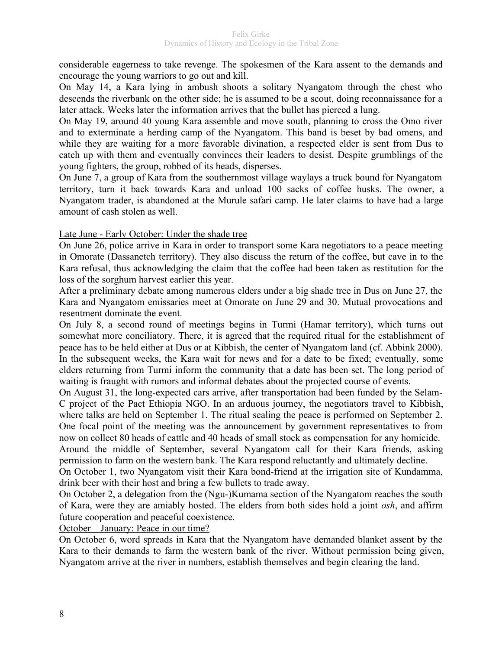considerable eagerness to take revenge. The spokesmen of the Kara assent to the demands and encourage the young warriors to go out and kill.

On May 14, a Kara lying in ambush shoots a solitary Nyangatom through the chest who descends the riverbank on the other side; he is assumed to be a scout, doing reconnaissance for a later attack. Weeks later the information arrives that the bullet has pierced a lung.

On May 19, around 40 young Kara assemble and move south, planning to cross the Omo river and to exterminate a herding camp of the Nyangatom. This band is beset by bad omens, and while they are waiting for a more favorable divination, a respected elder is sent from Dus to catch up with them and eventually convinces their leaders to desist. Despite grumblings of the young fighters, the group, robbed of its heads, disperses.

On June 7, a group of Kara from the southernmost village waylays a truck bound for Nyangatom territory, turn it back towards Kara and unload 100 sacks of coffee husks. The owner, a Nyangatom trader, is abandoned at the Murule safari camp. He later claims to have had a large amount of cash stolen as well.

## Late June - Early October: Under the shade tree

On June 26, police arrive in Kara in order to transport some Kara negotiators to a peace meeting in Omorate (Dassanetch territory). They also discuss the return of the coffee, but cave in to the Kara refusal, thus acknowledging the claim that the coffee had been taken as restitution for the loss of the sorghum harvest earlier this year.

After a preliminary debate among numerous elders under a big shade tree in Dus on June 27, the Kara and Nyangatom emissaries meet at Omorate on June 29 and 30. Mutual provocations and resentment dominate the event.

On July 8, a second round of meetings begins in Turmi (Hamar territory), which turns out somewhat more conciliatory. There, it is agreed that the required ritual for the establishment of peace has to be held either at Dus or at Kibbish, the center of Nyangatom land (cf. Abbink 2000). In the subsequent weeks, the Kara wait for news and for a date to be fixed; eventually, some elders returning from Turmi inform the community that a date has been set. The long period of waiting is fraught with rumors and informal debates about the projected course of events.

On August 31, the long-expected cars arrive, after transportation had been funded by the Selam-C project of the Pact Ethiopia NGO. In an arduous journey, the negotiators travel to Kibbish, where talks are held on September 1. The ritual sealing the peace is performed on September 2. One focal point of the meeting was the announcement by government representatives to from now on collect 80 heads of cattle and 40 heads of small stock as compensation for any homicide.

Around the middle of September, several Nyangatom call for their Kara friends, asking permission to farm on the western bank. The Kara respond reluctantly and ultimately decline.

On October 1, two Nyangatom visit their Kara bond-friend at the irrigation site of Kundamma, drink beer with their host and bring a few bullets to trade away.

On October 2, a delegation from the (Ngu-)Kumama section of the Nyangatom reaches the south of Kara, were they are amiably hosted. The elders from both sides hold a joint *osh*, and affirm future cooperation and peaceful coexistence.

October – January: Peace in our time?

On October 6, word spreads in Kara that the Nyangatom have demanded blanket assent by the Kara to their demands to farm the western bank of the river. Without permission being given, Nyangatom arrive at the river in numbers, establish themselves and begin clearing the land.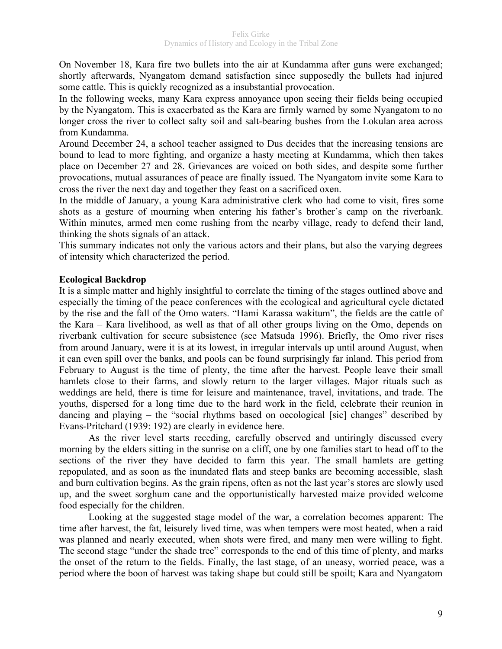On November 18, Kara fire two bullets into the air at Kundamma after guns were exchanged; shortly afterwards, Nyangatom demand satisfaction since supposedly the bullets had injured some cattle. This is quickly recognized as a insubstantial provocation.

In the following weeks, many Kara express annoyance upon seeing their fields being occupied by the Nyangatom. This is exacerbated as the Kara are firmly warned by some Nyangatom to no longer cross the river to collect salty soil and salt-bearing bushes from the Lokulan area across from Kundamma.

Around December 24, a school teacher assigned to Dus decides that the increasing tensions are bound to lead to more fighting, and organize a hasty meeting at Kundamma, which then takes place on December 27 and 28. Grievances are voiced on both sides, and despite some further provocations, mutual assurances of peace are finally issued. The Nyangatom invite some Kara to cross the river the next day and together they feast on a sacrificed oxen.

In the middle of January, a young Kara administrative clerk who had come to visit, fires some shots as a gesture of mourning when entering his father's brother's camp on the riverbank. Within minutes, armed men come rushing from the nearby village, ready to defend their land, thinking the shots signals of an attack.

This summary indicates not only the various actors and their plans, but also the varying degrees of intensity which characterized the period.

## **Ecological Backdrop**

It is a simple matter and highly insightful to correlate the timing of the stages outlined above and especially the timing of the peace conferences with the ecological and agricultural cycle dictated by the rise and the fall of the Omo waters. "Hami Karassa wakitum", the fields are the cattle of the Kara – Kara livelihood, as well as that of all other groups living on the Omo, depends on riverbank cultivation for secure subsistence (see Matsuda 1996). Briefly, the Omo river rises from around January, were it is at its lowest, in irregular intervals up until around August, when it can even spill over the banks, and pools can be found surprisingly far inland. This period from February to August is the time of plenty, the time after the harvest. People leave their small hamlets close to their farms, and slowly return to the larger villages. Major rituals such as weddings are held, there is time for leisure and maintenance, travel, invitations, and trade. The youths, dispersed for a long time due to the hard work in the field, celebrate their reunion in dancing and playing – the "social rhythms based on oecological [sic] changes" described by Evans-Pritchard (1939: 192) are clearly in evidence here.

As the river level starts receding, carefully observed and untiringly discussed every morning by the elders sitting in the sunrise on a cliff, one by one families start to head off to the sections of the river they have decided to farm this year. The small hamlets are getting repopulated, and as soon as the inundated flats and steep banks are becoming accessible, slash and burn cultivation begins. As the grain ripens, often as not the last year's stores are slowly used up, and the sweet sorghum cane and the opportunistically harvested maize provided welcome food especially for the children.

Looking at the suggested stage model of the war, a correlation becomes apparent: The time after harvest, the fat, leisurely lived time, was when tempers were most heated, when a raid was planned and nearly executed, when shots were fired, and many men were willing to fight. The second stage "under the shade tree" corresponds to the end of this time of plenty, and marks the onset of the return to the fields. Finally, the last stage, of an uneasy, worried peace, was a period where the boon of harvest was taking shape but could still be spoilt; Kara and Nyangatom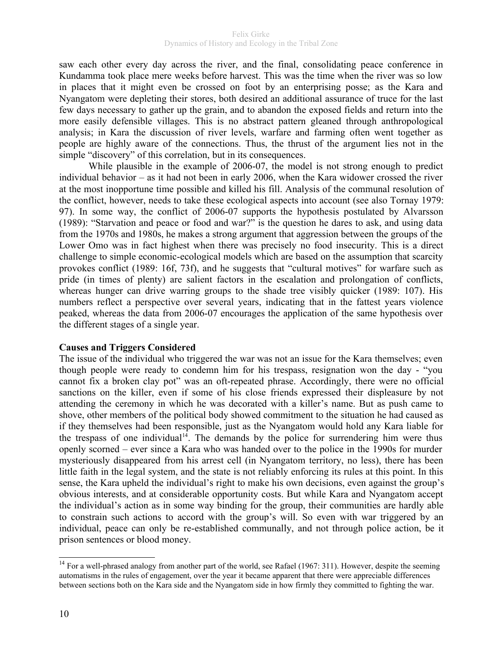saw each other every day across the river, and the final, consolidating peace conference in Kundamma took place mere weeks before harvest. This was the time when the river was so low in places that it might even be crossed on foot by an enterprising posse; as the Kara and Nyangatom were depleting their stores, both desired an additional assurance of truce for the last few days necessary to gather up the grain, and to abandon the exposed fields and return into the more easily defensible villages. This is no abstract pattern gleaned through anthropological analysis; in Kara the discussion of river levels, warfare and farming often went together as people are highly aware of the connections. Thus, the thrust of the argument lies not in the simple "discovery" of this correlation, but in its consequences.

While plausible in the example of 2006-07, the model is not strong enough to predict individual behavior – as it had not been in early 2006, when the Kara widower crossed the river at the most inopportune time possible and killed his fill. Analysis of the communal resolution of the conflict, however, needs to take these ecological aspects into account (see also Tornay 1979: 97). In some way, the conflict of 2006-07 supports the hypothesis postulated by Alvarsson (1989): "Starvation and peace or food and war?" is the question he dares to ask, and using data from the 1970s and 1980s, he makes a strong argument that aggression between the groups of the Lower Omo was in fact highest when there was precisely no food insecurity. This is a direct challenge to simple economic-ecological models which are based on the assumption that scarcity provokes conflict (1989: 16f, 73f), and he suggests that "cultural motives" for warfare such as pride (in times of plenty) are salient factors in the escalation and prolongation of conflicts, whereas hunger can drive warring groups to the shade tree visibly quicker (1989: 107). His numbers reflect a perspective over several years, indicating that in the fattest years violence peaked, whereas the data from 2006-07 encourages the application of the same hypothesis over the different stages of a single year.

## **Causes and Triggers Considered**

The issue of the individual who triggered the war was not an issue for the Kara themselves; even though people were ready to condemn him for his trespass, resignation won the day - "you cannot fix a broken clay pot" was an oft-repeated phrase. Accordingly, there were no official sanctions on the killer, even if some of his close friends expressed their displeasure by not attending the ceremony in which he was decorated with a killer's name. But as push came to shove, other members of the political body showed commitment to the situation he had caused as if they themselves had been responsible, just as the Nyangatom would hold any Kara liable for the trespass of one individual<sup> $14$ </sup>. The demands by the police for surrendering him were thus openly scorned – ever since a Kara who was handed over to the police in the 1990s for murder mysteriously disappeared from his arrest cell (in Nyangatom territory, no less), there has been little faith in the legal system, and the state is not reliably enforcing its rules at this point. In this sense, the Kara upheld the individual's right to make his own decisions, even against the group's obvious interests, and at considerable opportunity costs. But while Kara and Nyangatom accept the individual's action as in some way binding for the group, their communities are hardly able to constrain such actions to accord with the group's will. So even with war triggered by an individual, peace can only be re-established communally, and not through police action, be it prison sentences or blood money.

<span id="page-9-0"></span><sup>&</sup>lt;sup>14</sup> For a well-phrased analogy from another part of the world, see Rafael (1967: 311). However, despite the seeming automatisms in the rules of engagement, over the year it became apparent that there were appreciable differences between sections both on the Kara side and the Nyangatom side in how firmly they committed to fighting the war.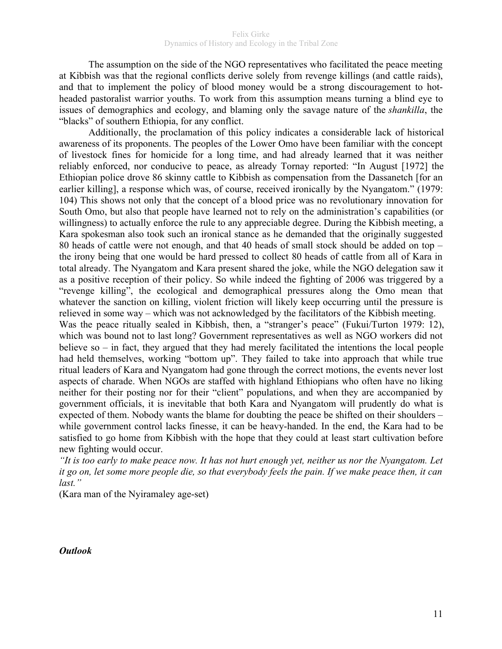The assumption on the side of the NGO representatives who facilitated the peace meeting at Kibbish was that the regional conflicts derive solely from revenge killings (and cattle raids), and that to implement the policy of blood money would be a strong discouragement to hotheaded pastoralist warrior youths. To work from this assumption means turning a blind eye to issues of demographics and ecology, and blaming only the savage nature of the *shankilla*, the "blacks" of southern Ethiopia, for any conflict.

Additionally, the proclamation of this policy indicates a considerable lack of historical awareness of its proponents. The peoples of the Lower Omo have been familiar with the concept of livestock fines for homicide for a long time, and had already learned that it was neither reliably enforced, nor conducive to peace, as already Tornay reported: "In August [1972] the Ethiopian police drove 86 skinny cattle to Kibbish as compensation from the Dassanetch [for an earlier killing], a response which was, of course, received ironically by the Nyangatom." (1979: 104) This shows not only that the concept of a blood price was no revolutionary innovation for South Omo, but also that people have learned not to rely on the administration's capabilities (or willingness) to actually enforce the rule to any appreciable degree. During the Kibbish meeting, a Kara spokesman also took such an ironical stance as he demanded that the originally suggested 80 heads of cattle were not enough, and that 40 heads of small stock should be added on top – the irony being that one would be hard pressed to collect 80 heads of cattle from all of Kara in total already. The Nyangatom and Kara present shared the joke, while the NGO delegation saw it as a positive reception of their policy. So while indeed the fighting of 2006 was triggered by a "revenge killing", the ecological and demographical pressures along the Omo mean that whatever the sanction on killing, violent friction will likely keep occurring until the pressure is relieved in some way – which was not acknowledged by the facilitators of the Kibbish meeting. Was the peace ritually sealed in Kibbish, then, a "stranger's peace" (Fukui/Turton 1979: 12), which was bound not to last long? Government representatives as well as NGO workers did not believe so – in fact, they argued that they had merely facilitated the intentions the local people had held themselves, working "bottom up". They failed to take into approach that while true ritual leaders of Kara and Nyangatom had gone through the correct motions, the events never lost aspects of charade. When NGOs are staffed with highland Ethiopians who often have no liking neither for their posting nor for their "client" populations, and when they are accompanied by government officials, it is inevitable that both Kara and Nyangatom will prudently do what is expected of them. Nobody wants the blame for doubting the peace be shifted on their shoulders – while government control lacks finesse, it can be heavy-handed. In the end, the Kara had to be satisfied to go home from Kibbish with the hope that they could at least start cultivation before new fighting would occur.

*"It is too early to make peace now. It has not hurt enough yet, neither us nor the Nyangatom. Let it go on, let some more people die, so that everybody feels the pain. If we make peace then, it can last."*

(Kara man of the Nyiramaley age-set)

*Outlook*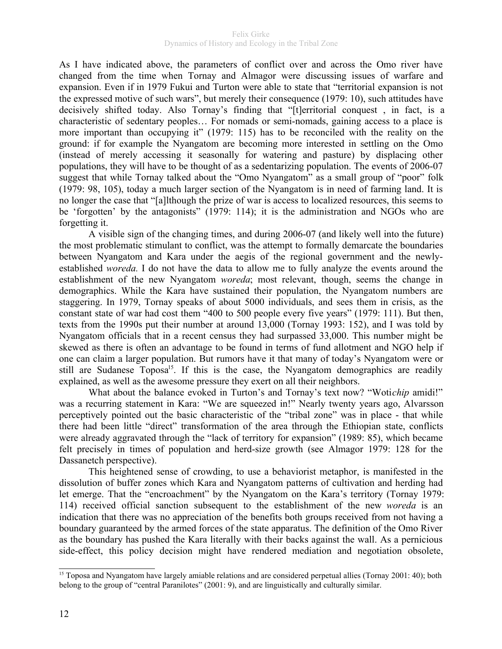As I have indicated above, the parameters of conflict over and across the Omo river have changed from the time when Tornay and Almagor were discussing issues of warfare and expansion. Even if in 1979 Fukui and Turton were able to state that "territorial expansion is not the expressed motive of such wars", but merely their consequence (1979: 10), such attitudes have decisively shifted today. Also Tornay's finding that "[t]erritorial conquest , in fact, is a characteristic of sedentary peoples… For nomads or semi-nomads, gaining access to a place is more important than occupying it" (1979: 115) has to be reconciled with the reality on the ground: if for example the Nyangatom are becoming more interested in settling on the Omo (instead of merely accessing it seasonally for watering and pasture) by displacing other populations, they will have to be thought of as a sedentarizing population. The events of 2006-07 suggest that while Tornay talked about the "Omo Nyangatom" as a small group of "poor" folk (1979: 98, 105), today a much larger section of the Nyangatom is in need of farming land. It is no longer the case that "[a]lthough the prize of war is access to localized resources, this seems to be 'forgotten' by the antagonists" (1979: 114); it is the administration and NGOs who are forgetting it.

A visible sign of the changing times, and during 2006-07 (and likely well into the future) the most problematic stimulant to conflict, was the attempt to formally demarcate the boundaries between Nyangatom and Kara under the aegis of the regional government and the newlyestablished *woreda.* I do not have the data to allow me to fully analyze the events around the establishment of the new Nyangatom *woreda*; most relevant, though, seems the change in demographics. While the Kara have sustained their population, the Nyangatom numbers are staggering. In 1979, Tornay speaks of about 5000 individuals, and sees them in crisis, as the constant state of war had cost them "400 to 500 people every five years" (1979: 111). But then, texts from the 1990s put their number at around 13,000 (Tornay 1993: 152), and I was told by Nyangatom officials that in a recent census they had surpassed 33,000. This number might be skewed as there is often an advantage to be found in terms of fund allotment and NGO help if one can claim a larger population. But rumors have it that many of today's Nyangatom were or still are Sudanese Toposa<sup>[15](#page-11-0)</sup>. If this is the case, the Nyangatom demographics are readily explained, as well as the awesome pressure they exert on all their neighbors.

What about the balance evoked in Turton's and Tornay's text now? "Woti*chip* amidi!" was a recurring statement in Kara: "We are squeezed in!" Nearly twenty years ago, Alvarsson perceptively pointed out the basic characteristic of the "tribal zone" was in place - that while there had been little "direct" transformation of the area through the Ethiopian state, conflicts were already aggravated through the "lack of territory for expansion" (1989: 85), which became felt precisely in times of population and herd-size growth (see Almagor 1979: 128 for the Dassanetch perspective).

This heightened sense of crowding, to use a behaviorist metaphor, is manifested in the dissolution of buffer zones which Kara and Nyangatom patterns of cultivation and herding had let emerge. That the "encroachment" by the Nyangatom on the Kara's territory (Tornay 1979: 114) received official sanction subsequent to the establishment of the new *woreda* is an indication that there was no appreciation of the benefits both groups received from not having a boundary guaranteed by the armed forces of the state apparatus. The definition of the Omo River as the boundary has pushed the Kara literally with their backs against the wall. As a pernicious side-effect, this policy decision might have rendered mediation and negotiation obsolete,

<span id="page-11-0"></span><sup>&</sup>lt;sup>15</sup> Toposa and Nyangatom have largely amiable relations and are considered perpetual allies (Tornay 2001: 40); both belong to the group of "central Paranilotes" (2001: 9), and are linguistically and culturally similar.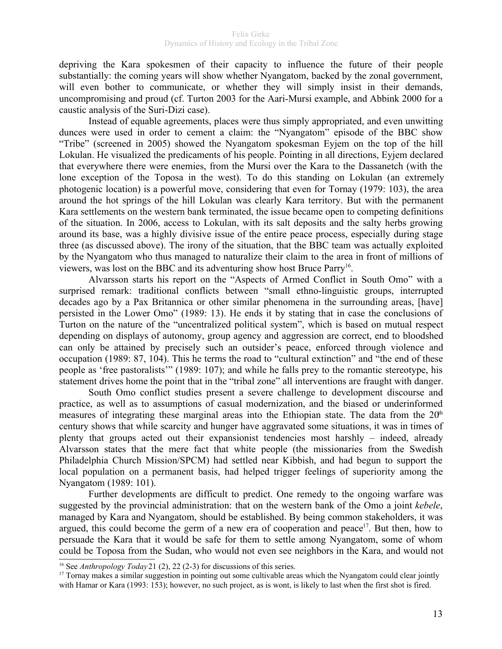depriving the Kara spokesmen of their capacity to influence the future of their people substantially: the coming years will show whether Nyangatom, backed by the zonal government, will even bother to communicate, or whether they will simply insist in their demands, uncompromising and proud (cf. Turton 2003 for the Aari-Mursi example, and Abbink 2000 for a caustic analysis of the Suri-Dizi case).

Instead of equable agreements, places were thus simply appropriated, and even unwitting dunces were used in order to cement a claim: the "Nyangatom" episode of the BBC show "Tribe" (screened in 2005) showed the Nyangatom spokesman Eyjem on the top of the hill Lokulan. He visualized the predicaments of his people. Pointing in all directions, Eyjem declared that everywhere there were enemies, from the Mursi over the Kara to the Dassanetch (with the lone exception of the Toposa in the west). To do this standing on Lokulan (an extremely photogenic location) is a powerful move, considering that even for Tornay (1979: 103), the area around the hot springs of the hill Lokulan was clearly Kara territory. But with the permanent Kara settlements on the western bank terminated, the issue became open to competing definitions of the situation. In 2006, access to Lokulan, with its salt deposits and the salty herbs growing around its base, was a highly divisive issue of the entire peace process, especially during stage three (as discussed above). The irony of the situation, that the BBC team was actually exploited by the Nyangatom who thus managed to naturalize their claim to the area in front of millions of viewers, was lost on the BBC and its adventuring show host Bruce Parry<sup>[16](#page-12-0)</sup>.

Alvarsson starts his report on the "Aspects of Armed Conflict in South Omo" with a surprised remark: traditional conflicts between "small ethno-linguistic groups, interrupted decades ago by a Pax Britannica or other similar phenomena in the surrounding areas, [have] persisted in the Lower Omo" (1989: 13). He ends it by stating that in case the conclusions of Turton on the nature of the "uncentralized political system", which is based on mutual respect depending on displays of autonomy, group agency and aggression are correct, end to bloodshed can only be attained by precisely such an outsider's peace, enforced through violence and occupation (1989: 87, 104). This he terms the road to "cultural extinction" and "the end of these people as 'free pastoralists'" (1989: 107); and while he falls prey to the romantic stereotype, his statement drives home the point that in the "tribal zone" all interventions are fraught with danger.

South Omo conflict studies present a severe challenge to development discourse and practice, as well as to assumptions of casual modernization, and the biased or underinformed measures of integrating these marginal areas into the Ethiopian state. The data from the 20<sup>th</sup> century shows that while scarcity and hunger have aggravated some situations, it was in times of plenty that groups acted out their expansionist tendencies most harshly – indeed, already Alvarsson states that the mere fact that white people (the missionaries from the Swedish Philadelphia Church Mission/SPCM) had settled near Kibbish, and had begun to support the local population on a permanent basis, had helped trigger feelings of superiority among the Nyangatom (1989: 101).

Further developments are difficult to predict. One remedy to the ongoing warfare was suggested by the provincial administration: that on the western bank of the Omo a joint *kebele*, managed by Kara and Nyangatom, should be established. By being common stakeholders, it was argued, this could become the germ of a new era of cooperation and peace<sup>[17](#page-12-1)</sup>. But then, how to persuade the Kara that it would be safe for them to settle among Nyangatom, some of whom could be Toposa from the Sudan, who would not even see neighbors in the Kara, and would not

<span id="page-12-0"></span><sup>&</sup>lt;sup>16</sup> See *Anthropology Today* 21 (2), 22 (2-3) for discussions of this series.

<span id="page-12-1"></span> $17$  Tornay makes a similar suggestion in pointing out some cultivable areas which the Nyangatom could clear jointly with Hamar or Kara (1993: 153); however, no such project, as is wont, is likely to last when the first shot is fired.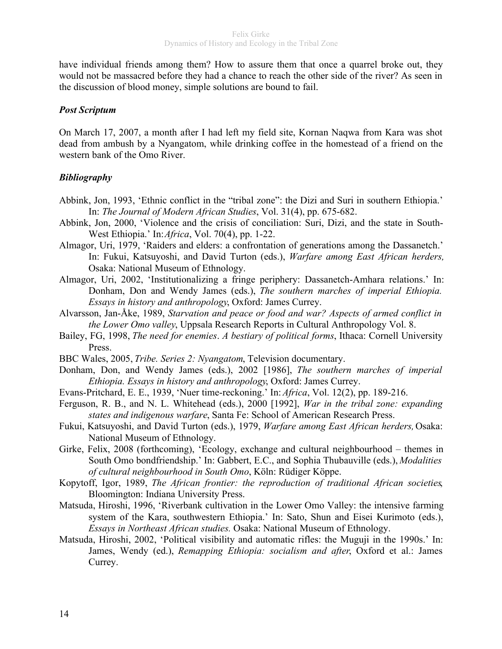have individual friends among them? How to assure them that once a quarrel broke out, they would not be massacred before they had a chance to reach the other side of the river? As seen in the discussion of blood money, simple solutions are bound to fail.

## *Post Scriptum*

On March 17, 2007, a month after I had left my field site, Kornan Naqwa from Kara was shot dead from ambush by a Nyangatom, while drinking coffee in the homestead of a friend on the western bank of the Omo River.

#### *Bibliography*

- Abbink, Jon, 1993, 'Ethnic conflict in the "tribal zone": the Dizi and Suri in southern Ethiopia.' In: *The Journal of Modern African Studies*, Vol. 31(4), pp. 675-682.
- Abbink, Jon, 2000, 'Violence and the crisis of conciliation: Suri, Dizi, and the state in South-West Ethiopia.' In: *Africa*, Vol. 70(4), pp. 1-22.
- Almagor, Uri, 1979, 'Raiders and elders: a confrontation of generations among the Dassanetch.' In: Fukui, Katsuyoshi, and David Turton (eds.), *Warfare among East African herders,* Osaka: National Museum of Ethnology.
- Almagor, Uri, 2002, 'Institutionalizing a fringe periphery: Dassanetch-Amhara relations.' In: Donham, Don and Wendy James (eds.), *The southern marches of imperial Ethiopia. Essays in history and anthropology*, Oxford: James Currey.
- Alvarsson, Jan-Åke, 1989, *Starvation and peace or food and war? Aspects of armed conflict in the Lower Omo valley*, Uppsala Research Reports in Cultural Anthropology Vol. 8.
- Bailey, FG, 1998, *The need for enemies*. *A bestiary of political forms*, Ithaca: Cornell University Press.
- BBC Wales, 2005, *Tribe. Series 2: Nyangatom*, Television documentary.
- Donham, Don, and Wendy James (eds.), 2002 [1986], *The southern marches of imperial Ethiopia. Essays in history and anthropology*, Oxford: James Currey.
- Evans-Pritchard, E. E., 1939, 'Nuer time-reckoning.' In: *Africa*, Vol. 12(2), pp. 189-216.
- Ferguson, R. B., and N. L. Whitehead (eds.), 2000 [1992], *War in the tribal zone: expanding states and indigenous warfare*, Santa Fe: School of American Research Press.
- Fukui, Katsuyoshi, and David Turton (eds.), 1979, *Warfare among East African herders,* Osaka: National Museum of Ethnology.
- Girke, Felix, 2008 (forthcoming), 'Ecology, exchange and cultural neighbourhood themes in South Omo bondfriendship.' In: Gabbert, E.C., and Sophia Thubauville (eds.), *Modalities of cultural neighbourhood in South Omo*, Köln: Rüdiger Köppe.
- Kopytoff, Igor, 1989, *The African frontier: the reproduction of traditional African societies*, Bloomington: Indiana University Press.
- Matsuda, Hiroshi, 1996, 'Riverbank cultivation in the Lower Omo Valley: the intensive farming system of the Kara, southwestern Ethiopia.' In: Sato, Shun and Eisei Kurimoto (eds.), *Essays in Northeast African studies.* Osaka: National Museum of Ethnology.
- Matsuda, Hiroshi, 2002, ['Political](http://vzopc4.gbv.de:8080/DB=6/SET=68/TTL=1/MAT=/NOMAT=T/CLK?IKT=1016&TRM=Political) [visibility](http://vzopc4.gbv.de:8080/DB=6/SET=68/TTL=1/MAT=/NOMAT=T/CLK?IKT=1016&TRM=visibility) [and](http://vzopc4.gbv.de:8080/DB=6/SET=68/TTL=1/MAT=/NOMAT=T/CLK?IKT=1016&TRM=and) [automatic](http://vzopc4.gbv.de:8080/DB=6/SET=68/TTL=1/MAT=/NOMAT=T/CLK?IKT=1016&TRM=automatic) [rifles:](http://vzopc4.gbv.de:8080/DB=6/SET=68/TTL=1/MAT=/NOMAT=T/CLK?IKT=1016&TRM=rifles) [the](http://vzopc4.gbv.de:8080/DB=6/SET=68/TTL=1/MAT=/NOMAT=T/CLK?IKT=1016&TRM=the) [Muguji](http://vzopc4.gbv.de:8080/DB=6/SET=68/TTL=1/MAT=/NOMAT=T/CLK?IKT=1016&TRM=Muguji) [in](http://vzopc4.gbv.de:8080/DB=6/SET=68/TTL=1/MAT=/NOMAT=T/CLK?IKT=1016&TRM=in) [the](http://vzopc4.gbv.de:8080/DB=6/SET=68/TTL=1/MAT=/NOMAT=T/CLK?IKT=1016&TRM=the) [1990s.](http://vzopc4.gbv.de:8080/DB=6/SET=68/TTL=1/MAT=/NOMAT=T/CLK?IKT=1016&TRM=1990s)' In: James, Wendy (ed.), *Remapping Ethiopia: socialism and after*, Oxford et al.: James Currey.